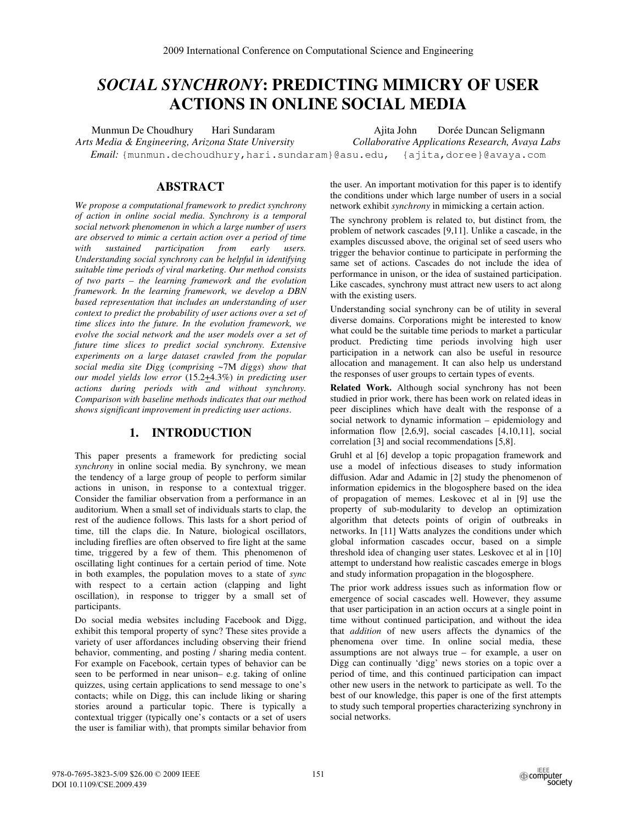# *SOCIAL SYNCHRONY***: PREDICTING MIMICRY OF USER ACTIONS IN ONLINE SOCIAL MEDIA**

Munmun De Choudhury Hari Sundaram Ajita John Dorée Duncan Seligmann *Arts Media & Engineering, Arizona State University Collaborative Applications Research, Avaya Labs Email:* {munmun.dechoudhury,hari.sundaram}@asu.edu, {ajita,doree}@avaya.com

# **ABSTRACT**

*We propose a computational framework to predict synchrony of action in online social media. Synchrony is a temporal social network phenomenon in which a large number of users are observed to mimic a certain action over a period of time with sustained participation from early users. Understanding social synchrony can be helpful in identifying suitable time periods of viral marketing. Our method consists of two parts – the learning framework and the evolution framework. In the learning framework, we develop a DBN based representation that includes an understanding of user context to predict the probability of user actions over a set of time slices into the future. In the evolution framework, we evolve the social network and the user models over a set of future time slices to predict social synchrony. Extensive experiments on a large dataset crawled from the popular social media site Digg* (*comprising* ~7M *diggs*) *show that our model yields low error* (15.2+4.3%) *in predicting user actions during periods with and without synchrony. Comparison with baseline methods indicates that our method shows significant improvement in predicting user actions*.

# **1. INTRODUCTION**

This paper presents a framework for predicting social *synchrony* in online social media. By synchrony, we mean the tendency of a large group of people to perform similar actions in unison, in response to a contextual trigger. Consider the familiar observation from a performance in an auditorium. When a small set of individuals starts to clap, the rest of the audience follows. This lasts for a short period of time, till the claps die. In Nature, biological oscillators, including fireflies are often observed to fire light at the same time, triggered by a few of them. This phenomenon of oscillating light continues for a certain period of time. Note in both examples, the population moves to a state of *sync* with respect to a certain action (clapping and light oscillation), in response to trigger by a small set of participants.

Do social media websites including Facebook and Digg, exhibit this temporal property of sync? These sites provide a variety of user affordances including observing their friend behavior, commenting, and posting / sharing media content. For example on Facebook, certain types of behavior can be seen to be performed in near unison– e.g. taking of online quizzes, using certain applications to send message to one's contacts; while on Digg, this can include liking or sharing stories around a particular topic. There is typically a contextual trigger (typically one's contacts or a set of users the user is familiar with), that prompts similar behavior from

the user. An important motivation for this paper is to identify the conditions under which large number of users in a social network exhibit *synchrony* in mimicking a certain action.

The synchrony problem is related to, but distinct from, the problem of network cascades [9,11]. Unlike a cascade, in the examples discussed above, the original set of seed users who trigger the behavior continue to participate in performing the same set of actions. Cascades do not include the idea of performance in unison, or the idea of sustained participation. Like cascades, synchrony must attract new users to act along with the existing users.

Understanding social synchrony can be of utility in several diverse domains. Corporations might be interested to know what could be the suitable time periods to market a particular product. Predicting time periods involving high user participation in a network can also be useful in resource allocation and management. It can also help us understand the responses of user groups to certain types of events.

**Related Work.** Although social synchrony has not been studied in prior work, there has been work on related ideas in peer disciplines which have dealt with the response of a social network to dynamic information – epidemiology and information flow [2,6,9], social cascades [4,10,11], social correlation [3] and social recommendations [5,8].

Gruhl et al [6] develop a topic propagation framework and use a model of infectious diseases to study information diffusion. Adar and Adamic in [2] study the phenomenon of information epidemics in the blogosphere based on the idea of propagation of memes. Leskovec et al in [9] use the property of sub-modularity to develop an optimization algorithm that detects points of origin of outbreaks in networks. In [11] Watts analyzes the conditions under which global information cascades occur, based on a simple threshold idea of changing user states. Leskovec et al in [10] attempt to understand how realistic cascades emerge in blogs and study information propagation in the blogosphere.

The prior work address issues such as information flow or emergence of social cascades well. However, they assume that user participation in an action occurs at a single point in time without continued participation, and without the idea that *addition* of new users affects the dynamics of the phenomena over time. In online social media, these assumptions are not always true – for example, a user on Digg can continually 'digg' news stories on a topic over a period of time, and this continued participation can impact other new users in the network to participate as well. To the best of our knowledge, this paper is one of the first attempts to study such temporal properties characterizing synchrony in social networks.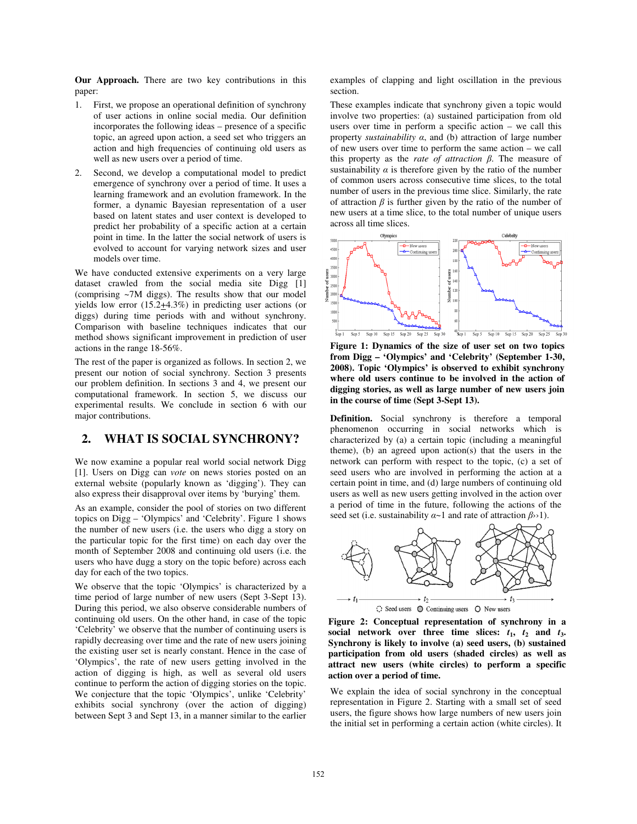**Our Approach.** There are two key contributions in this paper:

- 1. First, we propose an operational definition of synchrony of user actions in online social media. Our definition incorporates the following ideas – presence of a specific topic, an agreed upon action, a seed set who triggers an action and high frequencies of continuing old users as well as new users over a period of time.
- 2. Second, we develop a computational model to predict emergence of synchrony over a period of time. It uses a learning framework and an evolution framework. In the former, a dynamic Bayesian representation of a user based on latent states and user context is developed to predict her probability of a specific action at a certain point in time. In the latter the social network of users is evolved to account for varying network sizes and user models over time.

We have conducted extensive experiments on a very large dataset crawled from the social media site Digg [1] (comprising ~7M diggs). The results show that our model yields low error (15.2+4.3%) in predicting user actions (or diggs) during time periods with and without synchrony. Comparison with baseline techniques indicates that our method shows significant improvement in prediction of user actions in the range 18-56%.

The rest of the paper is organized as follows. In section 2, we present our notion of social synchrony. Section 3 presents our problem definition. In sections 3 and 4, we present our computational framework. In section 5, we discuss our experimental results. We conclude in section 6 with our major contributions.

## **2. WHAT IS SOCIAL SYNCHRONY?**

We now examine a popular real world social network Digg [1]. Users on Digg can *vote* on news stories posted on an external website (popularly known as 'digging'). They can also express their disapproval over items by 'burying' them.

As an example, consider the pool of stories on two different topics on Digg – 'Olympics' and 'Celebrity'. Figure 1 shows the number of new users (i.e. the users who digg a story on the particular topic for the first time) on each day over the month of September 2008 and continuing old users (i.e. the users who have dugg a story on the topic before) across each day for each of the two topics.

We observe that the topic 'Olympics' is characterized by a time period of large number of new users (Sept 3-Sept 13). During this period, we also observe considerable numbers of continuing old users. On the other hand, in case of the topic 'Celebrity' we observe that the number of continuing users is rapidly decreasing over time and the rate of new users joining the existing user set is nearly constant. Hence in the case of 'Olympics', the rate of new users getting involved in the action of digging is high, as well as several old users continue to perform the action of digging stories on the topic. We conjecture that the topic 'Olympics', unlike 'Celebrity' exhibits social synchrony (over the action of digging) between Sept 3 and Sept 13, in a manner similar to the earlier examples of clapping and light oscillation in the previous section.

These examples indicate that synchrony given a topic would involve two properties: (a) sustained participation from old users over time in perform a specific action – we call this property *sustainability* α, and (b) attraction of large number of new users over time to perform the same action – we call this property as the *rate of attraction* β. The measure of sustainability  $\alpha$  is therefore given by the ratio of the number of common users across consecutive time slices, to the total number of users in the previous time slice. Similarly, the rate of attraction  $\beta$  is further given by the ratio of the number of new users at a time slice, to the total number of unique users across all time slices.



**Figure 1: Dynamics of the size of user set on two topics from Digg – 'Olympics' and 'Celebrity' (September 1-30, 2008). Topic 'Olympics' is observed to exhibit synchrony where old users continue to be involved in the action of digging stories, as well as large number of new users join in the course of time (Sept 3-Sept 13).**

**Definition.** Social synchrony is therefore a temporal phenomenon occurring in social networks which is characterized by (a) a certain topic (including a meaningful theme), (b) an agreed upon action(s) that the users in the network can perform with respect to the topic, (c) a set of seed users who are involved in performing the action at a certain point in time, and (d) large numbers of continuing old users as well as new users getting involved in the action over a period of time in the future, following the actions of the seed set (i.e. sustainability  $\alpha$ ~1 and rate of attraction  $\beta$ >>1).





We explain the idea of social synchrony in the conceptual representation in Figure 2. Starting with a small set of seed users, the figure shows how large numbers of new users join the initial set in performing a certain action (white circles). It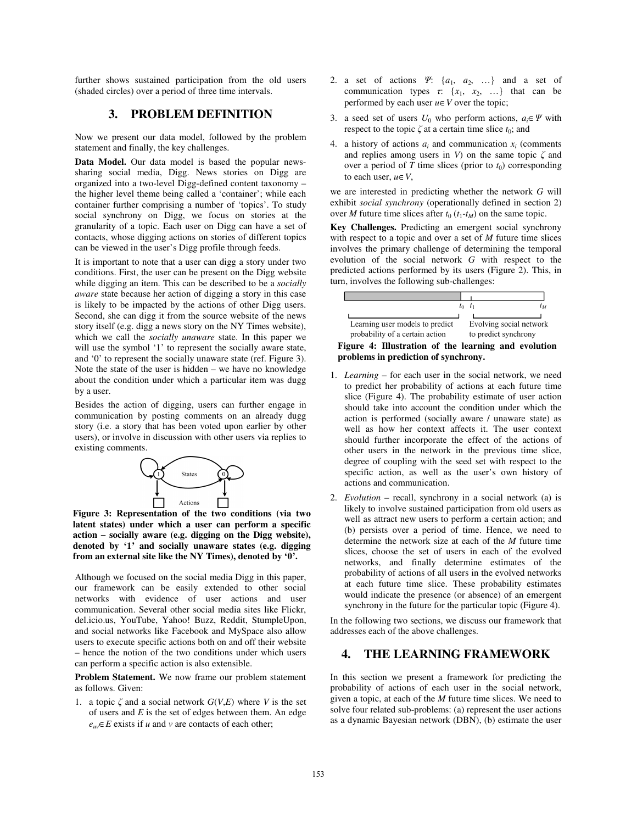further shows sustained participation from the old users (shaded circles) over a period of three time intervals.

# **3. PROBLEM DEFINITION**

Now we present our data model, followed by the problem statement and finally, the key challenges.

**Data Model.** Our data model is based the popular newssharing social media, Digg. News stories on Digg are organized into a two-level Digg-defined content taxonomy – the higher level theme being called a 'container'; while each container further comprising a number of 'topics'. To study social synchrony on Digg, we focus on stories at the granularity of a topic. Each user on Digg can have a set of contacts, whose digging actions on stories of different topics can be viewed in the user's Digg profile through feeds.

It is important to note that a user can digg a story under two conditions. First, the user can be present on the Digg website while digging an item. This can be described to be a *socially aware* state because her action of digging a story in this case is likely to be impacted by the actions of other Digg users. Second, she can digg it from the source website of the news story itself (e.g. digg a news story on the NY Times website), which we call the *socially unaware* state. In this paper we will use the symbol '1' to represent the socially aware state, and '0' to represent the socially unaware state (ref. Figure 3). Note the state of the user is hidden – we have no knowledge about the condition under which a particular item was dugg by a user.

Besides the action of digging, users can further engage in communication by posting comments on an already dugg story (i.e. a story that has been voted upon earlier by other users), or involve in discussion with other users via replies to existing comments.



**Figure 3: Representation of the two conditions (via two latent states) under which a user can perform a specific action – socially aware (e.g. digging on the Digg website), denoted by '1' and socially unaware states (e.g. digging from an external site like the NY Times), denoted by '0'.** 

Although we focused on the social media Digg in this paper, our framework can be easily extended to other social networks with evidence of user actions and user communication. Several other social media sites like Flickr, del.icio.us, YouTube, Yahoo! Buzz, Reddit, StumpleUpon, and social networks like Facebook and MySpace also allow users to execute specific actions both on and off their website – hence the notion of the two conditions under which users can perform a specific action is also extensible.

**Problem Statement.** We now frame our problem statement as follows. Given:

1. a topic  $\zeta$  and a social network  $G(V,E)$  where V is the set of users and *E* is the set of edges between them. An edge  $e_{uv} \in E$  exists if *u* and *v* are contacts of each other;

- 2. a set of actions Ψ: {*a*1, *a*2, …} and a set of communication types  $\tau$ :  $\{x_1, x_2, \ldots\}$  that can be performed by each user  $u \in V$  over the topic;
- 3. a seed set of users  $U_0$  who perform actions,  $a_i \in \Psi$  with respect to the topic  $\zeta$  at a certain time slice  $t_0$ ; and
- 4. a history of actions  $a_i$  and communication  $x_i$  (comments and replies among users in  $V$ ) on the same topic  $\zeta$  and over a period of *T* time slices (prior to  $t_0$ ) corresponding to each user, *u*∈*V*,

we are interested in predicting whether the network *G* will exhibit *social synchrony* (operationally defined in section 2) over *M* future time slices after  $t_0$  ( $t_1$ - $t_M$ ) on the same topic.

**Key Challenges.** Predicting an emergent social synchrony with respect to a topic and over a set of *M* future time slices involves the primary challenge of determining the temporal evolution of the social network *G* with respect to the predicted actions performed by its users (Figure 2). This, in turn, involves the following sub-challenges:



#### **Figure 4: Illustration of the learning and evolution problems in prediction of synchrony.**

- 1. *Learning* for each user in the social network, we need to predict her probability of actions at each future time slice (Figure 4). The probability estimate of user action should take into account the condition under which the action is performed (socially aware / unaware state) as well as how her context affects it. The user context should further incorporate the effect of the actions of other users in the network in the previous time slice, degree of coupling with the seed set with respect to the specific action, as well as the user's own history of actions and communication.
- 2. *Evolution* recall, synchrony in a social network (a) is likely to involve sustained participation from old users as well as attract new users to perform a certain action; and (b) persists over a period of time. Hence, we need to determine the network size at each of the *M* future time slices, choose the set of users in each of the evolved networks, and finally determine estimates of the probability of actions of all users in the evolved networks at each future time slice. These probability estimates would indicate the presence (or absence) of an emergent synchrony in the future for the particular topic (Figure 4).

In the following two sections, we discuss our framework that addresses each of the above challenges.

# **4. THE LEARNING FRAMEWORK**

In this section we present a framework for predicting the probability of actions of each user in the social network, given a topic, at each of the *M* future time slices. We need to solve four related sub-problems: (a) represent the user actions as a dynamic Bayesian network (DBN), (b) estimate the user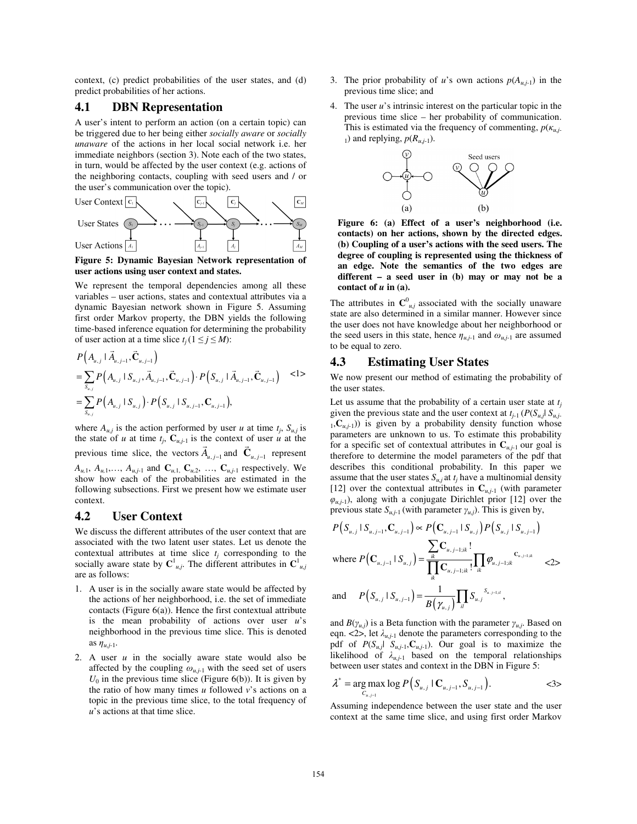context, (c) predict probabilities of the user states, and (d) predict probabilities of her actions.

## **4.1 DBN Representation**

A user's intent to perform an action (on a certain topic) can be triggered due to her being either *socially aware* or *socially unaware* of the actions in her local social network i.e. her immediate neighbors (section 3). Note each of the two states, in turn, would be affected by the user context (e.g. actions of the neighboring contacts, coupling with seed users and / or the user's communication over the topic).



**Figure 5: Dynamic Bayesian Network representation of user actions using user context and states.** 

We represent the temporal dependencies among all these variables – user actions, states and contextual attributes via a dynamic Bayesian network shown in Figure 5. Assuming first order Markov property, the DBN yields the following time-based inference equation for determining the probability of user action at a time slice  $t_i$  ( $1 \le j \le M$ ):

$$
P(A_{u,j} | \vec{A}_{u,j-1}, \vec{C}_{u,j-1})
$$
  
=  $\sum_{S_{u,j}} P(A_{u,j} | S_{u,j}, \vec{A}_{u,j-1}, \vec{C}_{u,j-1}) \cdot P(S_{u,j} | \vec{A}_{u,j-1}, \vec{C}_{u,j-1})$   $<1>$   
=  $\sum_{S_{u,j}} P(A_{u,j} | S_{u,j}) \cdot P(S_{u,j} | S_{u,j-1}, \vec{C}_{u,j-1}),$ 

where  $A_{u,j}$  is the action performed by user *u* at time  $t_j$ ,  $S_{u,j}$  is the state of *u* at time  $t_j$ ,  $C_{u,j-1}$  is the context of user *u* at the previous time slice, the vectors  $\vec{A}_{u, j-1}$  and  $\vec{C}_{u, j-1}$  represent *A<sub>u,1</sub>, A<sub>u,1</sub>,..., A<sub>u,j-1</sub>* and  $C_{u,1}$ ,  $C_{u,2}$ , ...,  $C_{u,j-1}$  respectively. We show how each of the probabilities are estimated in the following subsections. First we present how we estimate user context.

## **4.2 User Context**

We discuss the different attributes of the user context that are associated with the two latent user states. Let us denote the contextual attributes at time slice  $t_i$  corresponding to the socially aware state by  $C^1_{\mu,j}$ . The different attributes in  $C^1_{\mu,j}$ are as follows:

- 1. A user is in the socially aware state would be affected by the actions of her neighborhood, i.e. the set of immediate contacts (Figure  $6(a)$ ). Hence the first contextual attribute is the mean probability of actions over user *u*'s neighborhood in the previous time slice. This is denoted as  $\eta_{u,j-1}$ .
- 2. A user *u* in the socially aware state would also be affected by the coupling  $\omega_{u,j-1}$  with the seed set of users  $U_0$  in the previous time slice (Figure 6(b)). It is given by the ratio of how many times *u* followed *v*'s actions on a topic in the previous time slice, to the total frequency of *u*'s actions at that time slice.
- 3. The prior probability of *u*'s own actions  $p(A_{u,j-1})$  in the previous time slice; and
- 4. The user *u*'s intrinsic interest on the particular topic in the previous time slice – her probability of communication. This is estimated via the frequency of commenting,  $p(\kappa_{u,i})$ 1) and replying,  $p(R_{u,i-1})$ .



**Figure 6: (a) Effect of a user's neighborhood (i.e. contacts) on her actions, shown by the directed edges. (b) Coupling of a user's actions with the seed users. The degree of coupling is represented using the thickness of an edge. Note the semantics of the two edges are different – a seed user in (b) may or may not be a**  contact of  $u$  in (a).

The attributes in  $\mathbf{C}_{u,j}^0$  associated with the socially unaware state are also determined in a similar manner. However since the user does not have knowledge about her neighborhood or the seed users in this state, hence  $\eta_{u,j-1}$  and  $\omega_{u,j-1}$  are assumed to be equal to zero.

## **4.3 Estimating User States**

We now present our method of estimating the probability of the user states.

Let us assume that the probability of a certain user state at  $t_i$ given the previous state and the user context at  $t_{i-1}$  ( $P(S_{u,i}| S_{u,i-1})$  $_1, C_{u,j-1}$ ) is given by a probability density function whose parameters are unknown to us. To estimate this probability for a specific set of contextual attributes in  $C_{u,j-1}$  our goal is therefore to determine the model parameters of the pdf that describes this conditional probability. In this paper we assume that the user states  $S_{u,j}$  at  $t_j$  have a multinomial density [12] over the contextual attributes in  $C_{u,j-1}$  (with parameter  $\varphi_{u,j-1}$ ), along with a conjugate Dirichlet prior [12] over the previous state  $S_{u,i-1}$  (with parameter  $\gamma_{u,i}$ ). This is given by,

$$
P(S_{u,j} | S_{u,j-1}, \mathbf{C}_{u,j-1}) \propto P(\mathbf{C}_{u,j-1} | S_{u,j}) P(S_{u,j} | S_{u,j-1})
$$
  
where  $P(\mathbf{C}_{u,j-1} | S_{u,j}) = \frac{\sum_{ik} \mathbf{C}_{u,j-1;ik}!}{\prod_{ik} \mathbf{C}_{u,j-1;ik}! \prod_{ik} \varphi_{u,j-1;ik}} \mathbf{C}_{u,j-1;ik}$   $\leq 2 >$   
and  $P(S_{u,j} | S_{u,j-1}) = \frac{1}{B(\gamma_{u,j})} \prod_{il} S_{u,j}^{S_{u,j-1;il}}$ ,

and  $B(\gamma_{u,j})$  is a Beta function with the parameter  $\gamma_{u,j}$ . Based on eqn.  $\langle 2 \rangle$ , let  $\lambda_{u,j-1}$  denote the parameters corresponding to the pdf of  $P(S_{u,j}| S_{u,j-1}, \mathbb{C}_{u,j-1})$ . Our goal is to maximize the likelihood of  $\lambda_{u,j-1}$  based on the temporal relationships between user states and context in the DBN in Figure 5:

$$
\lambda^* = \underset{C_{u,j-1}}{\arg \max} \log P(S_{u,j} \mid C_{u,j-1}, S_{u,j-1}).
$$

Assuming independence between the user state and the user context at the same time slice, and using first order Markov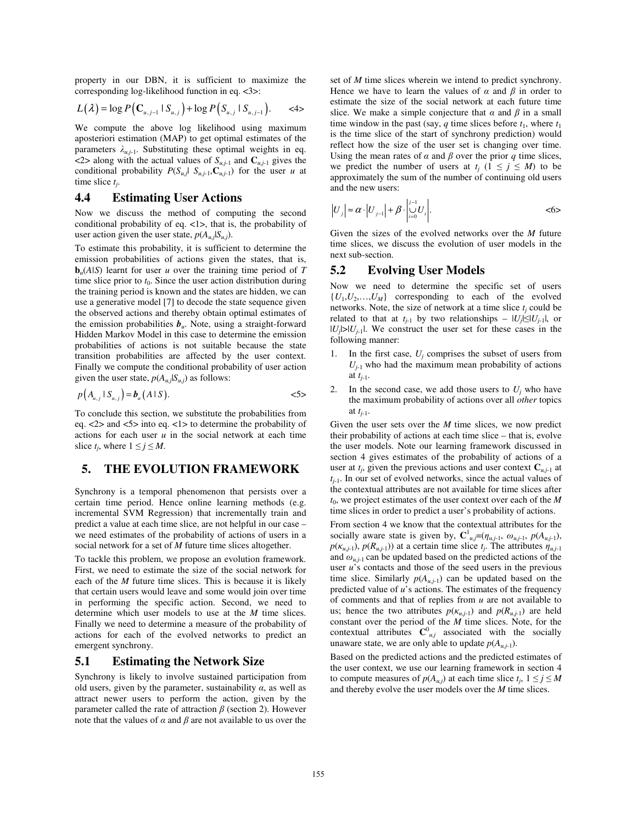property in our DBN, it is sufficient to maximize the corresponding log-likelihood function in eq. <3>:

$$
L(\lambda) = \log P\left(\mathbf{C}_{u,j-1} \mid S_{u,j}\right) + \log P\left(S_{u,j} \mid S_{u,j-1}\right). \qquad \text{<4>}
$$

We compute the above log likelihood using maximum aposteriori estimation (MAP) to get optimal estimates of the parameters  $\lambda_{u,j-1}$ . Substituting these optimal weights in eq.  $\langle 2 \rangle$  along with the actual values of  $S_{u,j-1}$  and  $C_{u,j-1}$  gives the conditional probability  $P(S_{u,j}| S_{u,j-1}, \mathbb{C}_{u,j-1})$  for the user *u* at time slice *tj*.

## **4.4 Estimating User Actions**

Now we discuss the method of computing the second conditional probability of eq. <1>, that is, the probability of user action given the user state,  $p(A_{u,j}|S_{u,j})$ .

To estimate this probability, it is sufficient to determine the emission probabilities of actions given the states, that is,  **learnt for user** *u* **over the training time period of** *T* time slice prior to  $t_0$ . Since the user action distribution during the training period is known and the states are hidden, we can use a generative model [7] to decode the state sequence given the observed actions and thereby obtain optimal estimates of the emission probabilities  $b<sub>u</sub>$ . Note, using a straight-forward Hidden Markov Model in this case to determine the emission probabilities of actions is not suitable because the state transition probabilities are affected by the user context. Finally we compute the conditional probability of user action given the user state,  $p(A_{u,i}|S_{u,i})$  as follows:

$$
p(A_{u,j} \mid S_{u,j}) = b_u(A \mid S). \tag{5}
$$

To conclude this section, we substitute the probabilities from eq. <2> and <5> into eq. <1> to determine the probability of actions for each user *u* in the social network at each time slice  $t_i$ , where  $1 \leq j \leq M$ .

# **5. THE EVOLUTION FRAMEWORK**

Synchrony is a temporal phenomenon that persists over a certain time period. Hence online learning methods (e.g. incremental SVM Regression) that incrementally train and predict a value at each time slice, are not helpful in our case – we need estimates of the probability of actions of users in a social network for a set of *M* future time slices altogether.

To tackle this problem, we propose an evolution framework. First, we need to estimate the size of the social network for each of the *M* future time slices. This is because it is likely that certain users would leave and some would join over time in performing the specific action. Second, we need to determine which user models to use at the *M* time slices. Finally we need to determine a measure of the probability of actions for each of the evolved networks to predict an emergent synchrony.

#### **5.1 Estimating the Network Size**

Synchrony is likely to involve sustained participation from old users, given by the parameter, sustainability  $\alpha$ , as well as attract newer users to perform the action, given by the parameter called the rate of attraction  $\beta$  (section 2). However note that the values of  $\alpha$  and  $\beta$  are not available to us over the

set of *M* time slices wherein we intend to predict synchrony. Hence we have to learn the values of  $\alpha$  and  $\beta$  in order to estimate the size of the social network at each future time slice. We make a simple conjecture that  $\alpha$  and  $\beta$  in a small time window in the past (say, *q* time slices before  $t_1$ , where  $t_1$ is the time slice of the start of synchrony prediction) would reflect how the size of the user set is changing over time. Using the mean rates of  $\alpha$  and  $\beta$  over the prior  $q$  time slices, we predict the number of users at  $t_i$  ( $1 \leq j \leq M$ ) to be approximately the sum of the number of continuing old users and the new users:

$$
\left|U_{j}\right| \approx \alpha \cdot \left|U_{j-1}\right| + \beta \cdot \left|\bigcup_{i=0}^{j-1} U_{i}\right|.
$$

Given the sizes of the evolved networks over the *M* future time slices, we discuss the evolution of user models in the next sub-section.

## **5.2 Evolving User Models**

Now we need to determine the specific set of users  ${U_1, U_2,..., U_M}$  corresponding to each of the evolved networks. Note, the size of network at a time slice  $t_i$  could be related to that at  $t_{i-1}$  by two relationships –  $|U_i| \leq |U_{i-1}|$ , or  $|U_j|>|U_{j-1}|$ . We construct the user set for these cases in the following manner:

- 1. In the first case,  $U_i$  comprises the subset of users from  $U_{i-1}$  who had the maximum mean probability of actions at *tj*-1.
- In the second case, we add those users to  $U_i$  who have the maximum probability of actions over all *other* topics at *tj*-1.

Given the user sets over the *M* time slices, we now predict their probability of actions at each time slice – that is, evolve the user models. Note our learning framework discussed in section 4 gives estimates of the probability of actions of a user at  $t_j$ , given the previous actions and user context  $C_{u,j-1}$  at  $t_{i-1}$ . In our set of evolved networks, since the actual values of the contextual attributes are not available for time slices after  $t_0$ , we project estimates of the user context over each of the *M* time slices in order to predict a user's probability of actions.

From section 4 we know that the contextual attributes for the socially aware state is given by,  $\mathbf{C}^1_{\mu,j} = (\eta_{\mu,j-1}, \omega_{\mu,j-1}, p(A_{\mu,j-1}),$  $p(\kappa_{u,j-1}), p(R_{u,j-1})$  at a certain time slice  $t_j$ . The attributes  $\eta_{u,j-1}$ and  $\omega_{u,j-1}$  can be updated based on the predicted actions of the user *u*'s contacts and those of the seed users in the previous time slice. Similarly  $p(A_{u,j-1})$  can be updated based on the predicted value of *u*'s actions. The estimates of the frequency of comments and that of replies from *u* are not available to us; hence the two attributes  $p(\kappa_{u,j-1})$  and  $p(R_{u,j-1})$  are held constant over the period of the *M* time slices. Note, for the contextual attributes  $\mathbf{C}_{u,j}^0$  associated with the socially unaware state, we are only able to update  $p(A_{u,i-1})$ .

Based on the predicted actions and the predicted estimates of the user context, we use our learning framework in section 4 to compute measures of  $p(A_{u,j})$  at each time slice  $t_i$ ,  $1 \le j \le M$ and thereby evolve the user models over the *M* time slices.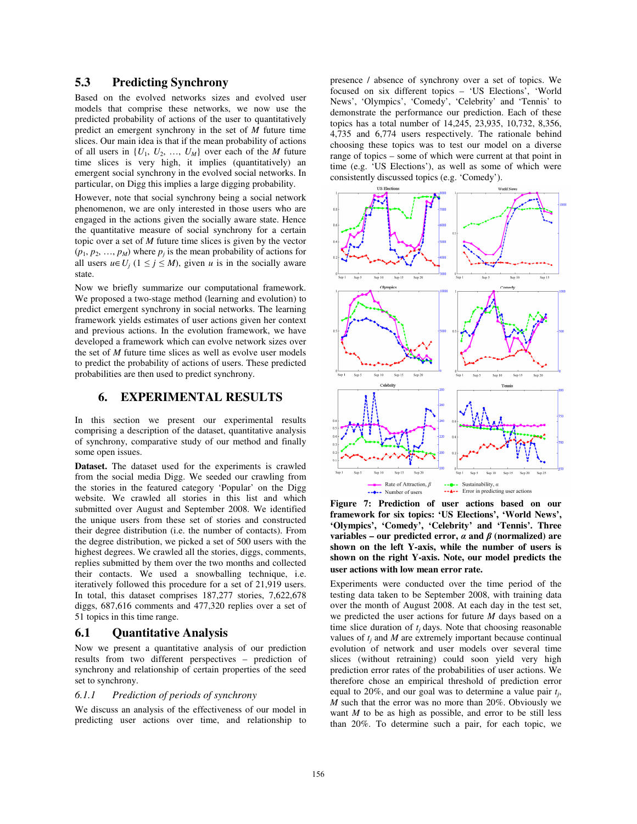# **5.3 Predicting Synchrony**

Based on the evolved networks sizes and evolved user models that comprise these networks, we now use the predicted probability of actions of the user to quantitatively predict an emergent synchrony in the set of *M* future time slices. Our main idea is that if the mean probability of actions of all users in  $\{U_1, U_2, ..., U_M\}$  over each of the *M* future time slices is very high, it implies (quantitatively) an emergent social synchrony in the evolved social networks. In particular, on Digg this implies a large digging probability.

However, note that social synchrony being a social network phenomenon, we are only interested in those users who are engaged in the actions given the socially aware state. Hence the quantitative measure of social synchrony for a certain topic over a set of *M* future time slices is given by the vector  $(p_1, p_2, \ldots, p_M)$  where  $p_j$  is the mean probability of actions for all users  $u \in U_j$  ( $1 \le j \le M$ ), given *u* is in the socially aware state.

Now we briefly summarize our computational framework. We proposed a two-stage method (learning and evolution) to predict emergent synchrony in social networks. The learning framework yields estimates of user actions given her context and previous actions. In the evolution framework, we have developed a framework which can evolve network sizes over the set of *M* future time slices as well as evolve user models to predict the probability of actions of users. These predicted probabilities are then used to predict synchrony.

## **6. EXPERIMENTAL RESULTS**

In this section we present our experimental results comprising a description of the dataset, quantitative analysis of synchrony, comparative study of our method and finally some open issues.

**Dataset.** The dataset used for the experiments is crawled from the social media Digg. We seeded our crawling from the stories in the featured category 'Popular' on the Digg website. We crawled all stories in this list and which submitted over August and September 2008. We identified the unique users from these set of stories and constructed their degree distribution (i.e. the number of contacts). From the degree distribution, we picked a set of 500 users with the highest degrees. We crawled all the stories, diggs, comments, replies submitted by them over the two months and collected their contacts. We used a snowballing technique, i.e. iteratively followed this procedure for a set of 21,919 users. In total, this dataset comprises 187,277 stories, 7,622,678 diggs, 687,616 comments and 477,320 replies over a set of 51 topics in this time range.

#### **6.1 Quantitative Analysis**

Now we present a quantitative analysis of our prediction results from two different perspectives – prediction of synchrony and relationship of certain properties of the seed set to synchrony.

#### *6.1.1 Prediction of periods of synchrony*

We discuss an analysis of the effectiveness of our model in predicting user actions over time, and relationship to

presence / absence of synchrony over a set of topics. We focused on six different topics – 'US Elections', 'World News', 'Olympics', 'Comedy', 'Celebrity' and 'Tennis' to demonstrate the performance our prediction. Each of these topics has a total number of 14,245, 23,935, 10,732, 8,356, 4,735 and 6,774 users respectively. The rationale behind choosing these topics was to test our model on a diverse range of topics – some of which were current at that point in time (e.g. 'US Elections'), as well as some of which were consistently discussed topics (e.g. 'Comedy').



**Figure 7: Prediction of user actions based on our framework for six topics: 'US Elections', 'World News', 'Olympics', 'Comedy', 'Celebrity' and 'Tennis'. Three variables – our predicted error,** α **and** β **(normalized) are shown on the left Y-axis, while the number of users is shown on the right Y-axis. Note, our model predicts the user actions with low mean error rate.**

Experiments were conducted over the time period of the testing data taken to be September 2008, with training data over the month of August 2008. At each day in the test set, we predicted the user actions for future *M* days based on a time slice duration of  $t_i$  days. Note that choosing reasonable values of  $t_i$  and  $M$  are extremely important because continual evolution of network and user models over several time slices (without retraining) could soon yield very high prediction error rates of the probabilities of user actions. We therefore chose an empirical threshold of prediction error equal to 20%, and our goal was to determine a value pair *tj*, *M* such that the error was no more than 20%. Obviously we want *M* to be as high as possible, and error to be still less than 20%. To determine such a pair, for each topic, we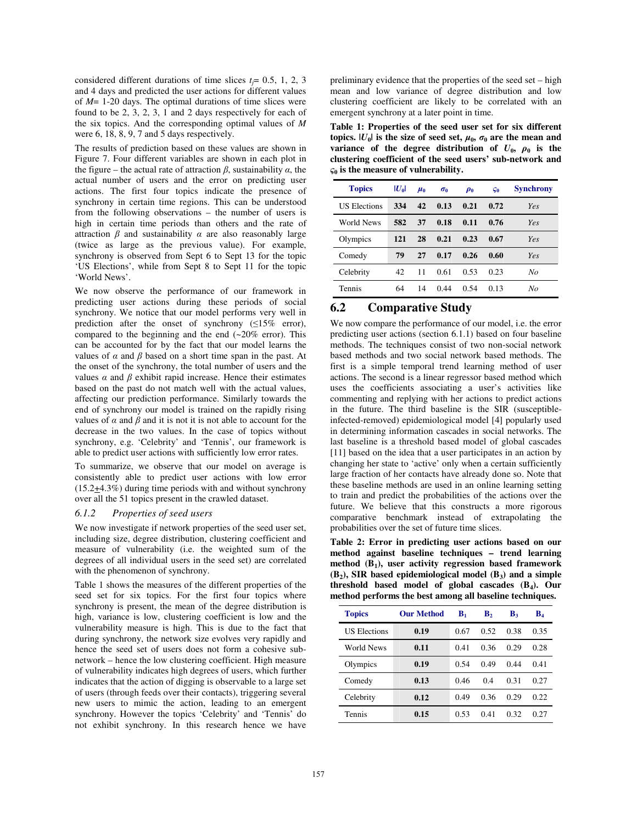considered different durations of time slices  $t_j = 0.5, 1, 2, 3$ and 4 days and predicted the user actions for different values of *M*= 1-20 days. The optimal durations of time slices were found to be 2, 3, 2, 3, 1 and 2 days respectively for each of the six topics. And the corresponding optimal values of *M* were 6, 18, 8, 9, 7 and 5 days respectively.

The results of prediction based on these values are shown in Figure 7. Four different variables are shown in each plot in the figure – the actual rate of attraction  $\beta$ , sustainability  $\alpha$ , the actual number of users and the error on predicting user actions. The first four topics indicate the presence of synchrony in certain time regions. This can be understood from the following observations – the number of users is high in certain time periods than others and the rate of attraction  $\beta$  and sustainability  $\alpha$  are also reasonably large (twice as large as the previous value). For example, synchrony is observed from Sept 6 to Sept 13 for the topic 'US Elections', while from Sept 8 to Sept 11 for the topic 'World News'.

We now observe the performance of our framework in predicting user actions during these periods of social synchrony. We notice that our model performs very well in prediction after the onset of synchrony  $(≤15\%$  error), compared to the beginning and the end  $(-20\% \text{ error})$ . This can be accounted for by the fact that our model learns the values of  $\alpha$  and  $\beta$  based on a short time span in the past. At the onset of the synchrony, the total number of users and the values  $\alpha$  and  $\beta$  exhibit rapid increase. Hence their estimates based on the past do not match well with the actual values, affecting our prediction performance. Similarly towards the end of synchrony our model is trained on the rapidly rising values of  $\alpha$  and  $\beta$  and it is not it is not able to account for the decrease in the two values. In the case of topics without synchrony, e.g. 'Celebrity' and 'Tennis', our framework is able to predict user actions with sufficiently low error rates.

To summarize, we observe that our model on average is consistently able to predict user actions with low error (15.2+4.3%) during time periods with and without synchrony over all the 51 topics present in the crawled dataset.

#### *6.1.2 Properties of seed users*

We now investigate if network properties of the seed user set, including size, degree distribution, clustering coefficient and measure of vulnerability (i.e. the weighted sum of the degrees of all individual users in the seed set) are correlated with the phenomenon of synchrony.

Table 1 shows the measures of the different properties of the seed set for six topics. For the first four topics where synchrony is present, the mean of the degree distribution is high, variance is low, clustering coefficient is low and the vulnerability measure is high. This is due to the fact that during synchrony, the network size evolves very rapidly and hence the seed set of users does not form a cohesive subnetwork – hence the low clustering coefficient. High measure of vulnerability indicates high degrees of users, which further indicates that the action of digging is observable to a large set of users (through feeds over their contacts), triggering several new users to mimic the action, leading to an emergent synchrony. However the topics 'Celebrity' and 'Tennis' do not exhibit synchrony. In this research hence we have

preliminary evidence that the properties of the seed set – high mean and low variance of degree distribution and low clustering coefficient are likely to be correlated with an emergent synchrony at a later point in time.

**Table 1: Properties of the seed user set for six different topics.**  $|U_0|$  is the size of seed set,  $\mu_0$ ,  $\sigma_0$  are the mean and **variance** of the degree distribution of  $U_0$ ,  $\rho_0$  is the **clustering coefficient of the seed users' sub-network and**  ς**0 is the measure of vulnerability.** 

| <b>Topics</b>       | $ U_0 $ | $\mu_0$ | $\sigma_0$ | $\boldsymbol{\rho}_0$ | $\varsigma_0$ | <b>Synchrony</b> |
|---------------------|---------|---------|------------|-----------------------|---------------|------------------|
| <b>US Elections</b> | 334     | 42      | 0.13       | 0.21                  | 0.72          | Yes              |
| World News          | 582     | 37      | 0.18       | 0.11                  | 0.76          | Yes              |
| Olympics            | 121     | 28      | 0.21       | 0.23                  | 0.67          | Yes              |
| Comedy              | 79      | 27      | 0.17       | 0.26                  | 0.60          | Yes              |
| Celebrity           | 42      | 11      | 0.61       | 0.53                  | 0.23          | No               |
| Tennis              | 64      | 14      | 0.44       | 0.54                  | 0.13          | No               |

# **6.2 Comparative Study**

We now compare the performance of our model, i.e. the error predicting user actions (section 6.1.1) based on four baseline methods. The techniques consist of two non-social network based methods and two social network based methods. The first is a simple temporal trend learning method of user actions. The second is a linear regressor based method which uses the coefficients associating a user's activities like commenting and replying with her actions to predict actions in the future. The third baseline is the SIR (susceptibleinfected-removed) epidemiological model [4] popularly used in determining information cascades in social networks. The last baseline is a threshold based model of global cascades [11] based on the idea that a user participates in an action by changing her state to 'active' only when a certain sufficiently large fraction of her contacts have already done so. Note that these baseline methods are used in an online learning setting to train and predict the probabilities of the actions over the future. We believe that this constructs a more rigorous comparative benchmark instead of extrapolating the probabilities over the set of future time slices.

**Table 2: Error in predicting user actions based on our method against baseline techniques – trend learning method (B1), user activity regression based framework (B2), SIR based epidemiological model (B3) and a simple threshold based model of global cascades (B4). Our method performs the best among all baseline techniques.**

| <b>Topics</b>       | <b>Our Method</b> | $\mathbf{B}_{1}$ | $\mathbf{B}_2$ | В٠   | $\mathbf{B}_4$ |
|---------------------|-------------------|------------------|----------------|------|----------------|
| <b>US Elections</b> | 0.19              | 0.67             | 0.52           | 0.38 | 0.35           |
| World News          | 0.11              | 0.41             | 0.36           | 0.29 | 0.28           |
| Olympics            | 0.19              | 0.54             | 0.49           | 0.44 | 0.41           |
| Comedy              | 0.13              | 0.46             | 0.4            | 0.31 | 0.27           |
| Celebrity           | 0.12              | 0.49             | 0.36           | 0.29 | 0.22           |
| Tennis              | 0.15              | 0.53             | 0.41           | 0.32 | 0.27           |